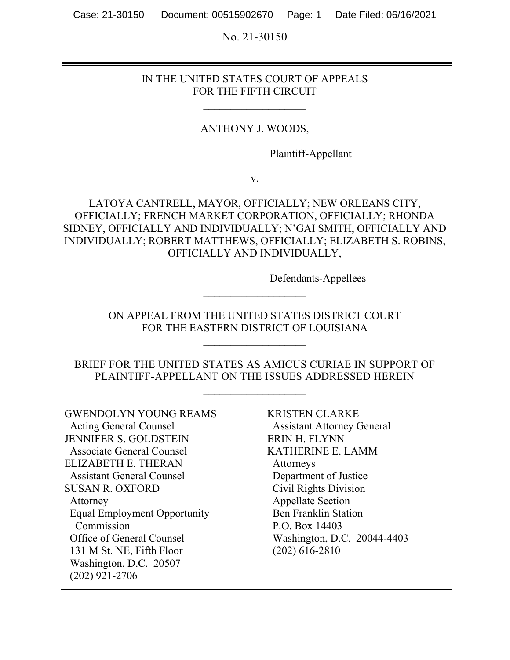No. 21-30150

### IN THE UNITED STATES COURT OF APPEALS FOR THE FIFTH CIRCUIT

 $\frac{1}{2}$  ,  $\frac{1}{2}$  ,  $\frac{1}{2}$  ,  $\frac{1}{2}$  ,  $\frac{1}{2}$  ,  $\frac{1}{2}$  ,  $\frac{1}{2}$  ,  $\frac{1}{2}$  ,  $\frac{1}{2}$  ,  $\frac{1}{2}$  ,  $\frac{1}{2}$ 

#### ANTHONY J. WOODS,

Plaintiff-Appellant

v.

# LATOYA CANTRELL, MAYOR, OFFICIALLY; NEW ORLEANS CITY, OFFICIALLY; FRENCH MARKET CORPORATION, OFFICIALLY; RHONDA SIDNEY, OFFICIALLY AND INDIVIDUALLY; N'GAI SMITH, OFFICIALLY AND INDIVIDUALLY; ROBERT MATTHEWS, OFFICIALLY; ELIZABETH S. ROBINS, OFFICIALLY AND INDIVIDUALLY,

Defendants-Appellees

ON APPEAL FROM THE UNITED STATES DISTRICT COURT FOR THE EASTERN DISTRICT OF LOUISIANA

 $\frac{1}{2}$  ,  $\frac{1}{2}$  ,  $\frac{1}{2}$  ,  $\frac{1}{2}$  ,  $\frac{1}{2}$  ,  $\frac{1}{2}$  ,  $\frac{1}{2}$  ,  $\frac{1}{2}$  ,  $\frac{1}{2}$  ,  $\frac{1}{2}$  ,  $\frac{1}{2}$  ,  $\frac{1}{2}$ 

 $\frac{1}{2}$  ,  $\frac{1}{2}$  ,  $\frac{1}{2}$  ,  $\frac{1}{2}$  ,  $\frac{1}{2}$  ,  $\frac{1}{2}$  ,  $\frac{1}{2}$  ,  $\frac{1}{2}$  ,  $\frac{1}{2}$  ,  $\frac{1}{2}$  ,  $\frac{1}{2}$ 

BRIEF FOR THE UNITED STATES AS AMICUS CURIAE IN SUPPORT OF PLAINTIFF-APPELLANT ON THE ISSUES ADDRESSED HEREIN

 $\overline{\phantom{a}}$  , where  $\overline{\phantom{a}}$  , where  $\overline{\phantom{a}}$ 

GWENDOLYN YOUNG REAMS Acting General Counsel JENNIFER S. GOLDSTEIN Associate General Counsel ELIZABETH E. THERAN Assistant General Counsel SUSAN R. OXFORD Attorney Equal Employment Opportunity Commission Office of General Counsel 131 M St. NE, Fifth Floor Washington, D.C. 20507 (202) 921-2706

KRISTEN CLARKE Assistant Attorney General ERIN H. FLYNN KATHERINE E. LAMM Attorneys Department of Justice Civil Rights Division Appellate Section Ben Franklin Station P.O. Box 14403 Washington, D.C. 20044-4403 (202) 616-2810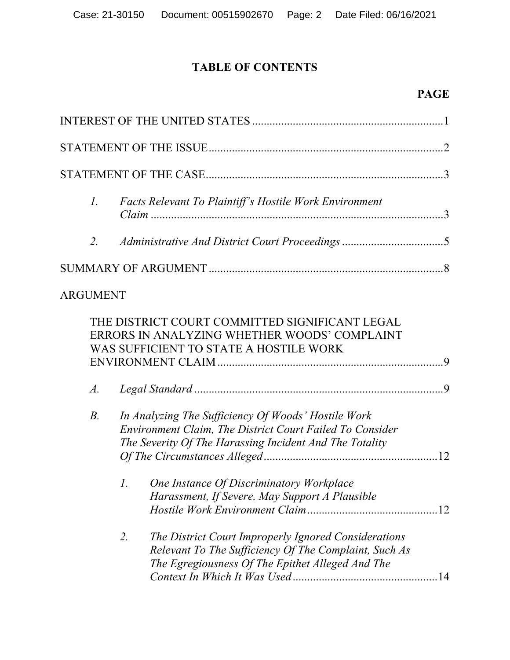# **TABLE OF CONTENTS**

# **PAGE**

| $\Gamma$ .      | <b>Facts Relevant To Plaintiff's Hostile Work Environment</b>                                                                                                              |
|-----------------|----------------------------------------------------------------------------------------------------------------------------------------------------------------------------|
| 2.              |                                                                                                                                                                            |
|                 |                                                                                                                                                                            |
| <b>ARGUMENT</b> |                                                                                                                                                                            |
|                 | THE DISTRICT COURT COMMITTED SIGNIFICANT LEGAL<br>ERRORS IN ANALYZING WHETHER WOODS' COMPLAINT<br>WAS SUFFICIENT TO STATE A HOSTILE WORK                                   |
| $A$ .           |                                                                                                                                                                            |
| $B$ .           | In Analyzing The Sufficiency Of Woods' Hostile Work<br>Environment Claim, The District Court Failed To Consider<br>The Severity Of The Harassing Incident And The Totality |
|                 | 1. One Instance Of Discriminatory Workplace<br>Harassment, If Severe, May Support A Plausible                                                                              |
|                 | 2.<br>The District Court Improperly Ignored Considerations<br>Relevant To The Sufficiency Of The Complaint, Such As<br>The Egregiousness Of The Epithet Alleged And The    |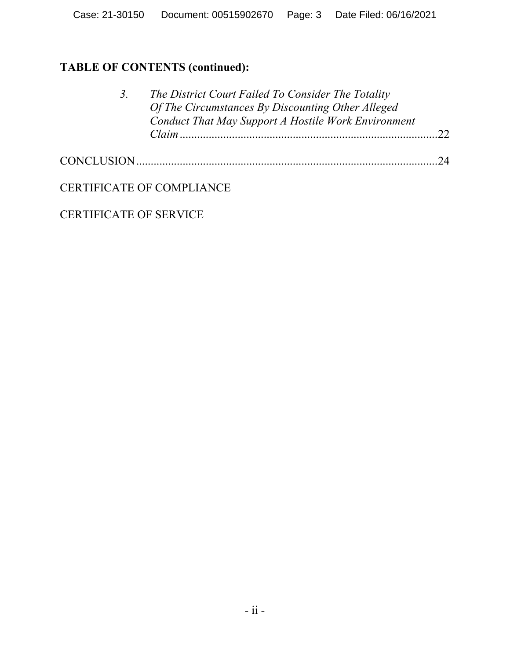# **TABLE OF CONTENTS (continued):**

| 3. | The District Court Failed To Consider The Totality                                                       |            |
|----|----------------------------------------------------------------------------------------------------------|------------|
|    | Of The Circumstances By Discounting Other Alleged<br>Conduct That May Support A Hostile Work Environment |            |
|    |                                                                                                          |            |
|    |                                                                                                          | $\gamma_4$ |

CERTIFICATE OF COMPLIANCE

CERTIFICATE OF SERVICE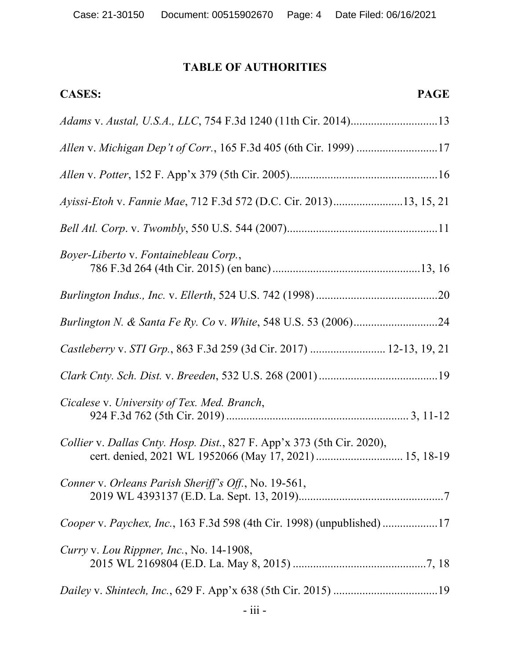# **TABLE OF AUTHORITIES**

| <b>PAGE</b><br><b>CASES:</b>                                                                                                      |
|-----------------------------------------------------------------------------------------------------------------------------------|
| Adams v. Austal, U.S.A., LLC, 754 F.3d 1240 (11th Cir. 2014)13                                                                    |
| Allen v. Michigan Dep't of Corr., 165 F.3d 405 (6th Cir. 1999) 17                                                                 |
|                                                                                                                                   |
| Ayissi-Etoh v. Fannie Mae, 712 F.3d 572 (D.C. Cir. 2013)13, 15, 21                                                                |
|                                                                                                                                   |
| Boyer-Liberto v. Fontainebleau Corp.,                                                                                             |
|                                                                                                                                   |
|                                                                                                                                   |
| Castleberry v. STI Grp., 863 F.3d 259 (3d Cir. 2017)  12-13, 19, 21                                                               |
|                                                                                                                                   |
| Cicalese v. University of Tex. Med. Branch,                                                                                       |
| Collier v. Dallas Cnty. Hosp. Dist., 827 F. App'x 373 (5th Cir. 2020),<br>cert. denied, 2021 WL 1952066 (May 17, 2021)  15, 18-19 |
| Conner v. Orleans Parish Sheriff's Off., No. 19-561,                                                                              |
| Cooper v. Paychex, Inc., 163 F.3d 598 (4th Cir. 1998) (unpublished) 17                                                            |
| Curry v. Lou Rippner, Inc., No. 14-1908,                                                                                          |
|                                                                                                                                   |
|                                                                                                                                   |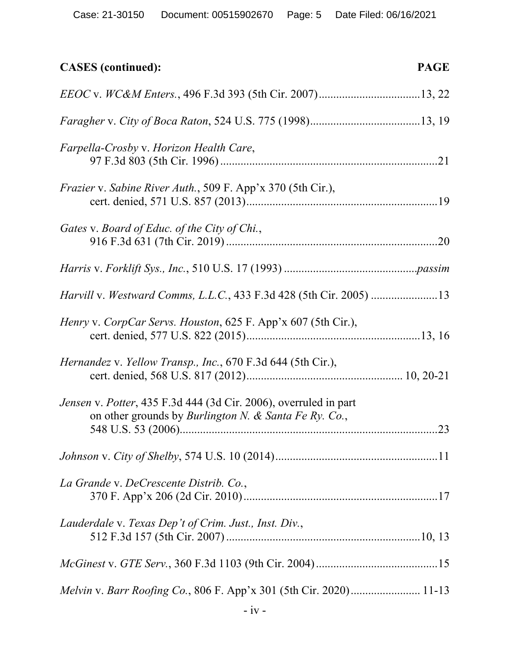| <b>CASES</b> (continued):                                                                                                             | <b>PAGE</b> |
|---------------------------------------------------------------------------------------------------------------------------------------|-------------|
|                                                                                                                                       |             |
|                                                                                                                                       |             |
| Farpella-Crosby v. Horizon Health Care,                                                                                               |             |
| <i>Frazier v. Sabine River Auth., 509 F. App'x 370 (5th Cir.),</i>                                                                    |             |
| Gates v. Board of Educ. of the City of Chi.,                                                                                          |             |
|                                                                                                                                       |             |
| Harvill v. Westward Comms, L.L.C., 433 F.3d 428 (5th Cir. 2005) 13                                                                    |             |
| Henry v. CorpCar Servs. Houston, 625 F. App'x 607 (5th Cir.),                                                                         |             |
| Hernandez v. Yellow Transp., Inc., 670 F.3d 644 (5th Cir.),                                                                           |             |
| Jensen v. Potter, 435 F.3d 444 (3d Cir. 2006), overruled in part<br>on other grounds by <i>Burlington N. &amp; Santa Fe Ry. Co.</i> , | . 23        |
|                                                                                                                                       |             |
| La Grande v. DeCrescente Distrib. Co.,                                                                                                |             |
| Lauderdale v. Texas Dep't of Crim. Just., Inst. Div.,                                                                                 |             |
|                                                                                                                                       |             |
|                                                                                                                                       |             |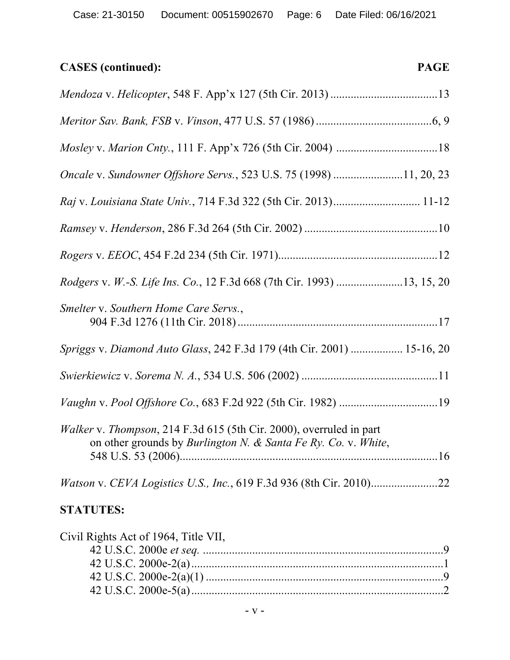# **CASES (continued): PAGE**

| Oncale v. Sundowner Offshore Servs., 523 U.S. 75 (1998) 11, 20, 23                                                                    |
|---------------------------------------------------------------------------------------------------------------------------------------|
|                                                                                                                                       |
|                                                                                                                                       |
|                                                                                                                                       |
| Rodgers v. W.-S. Life Ins. Co., 12 F.3d 668 (7th Cir. 1993) 13, 15, 20                                                                |
| Smelter v. Southern Home Care Servs.,                                                                                                 |
| Spriggs v. Diamond Auto Glass, 242 F.3d 179 (4th Cir. 2001)  15-16, 20                                                                |
|                                                                                                                                       |
|                                                                                                                                       |
| Walker v. Thompson, 214 F.3d 615 (5th Cir. 2000), overruled in part<br>on other grounds by Burlington N. & Santa Fe Ry. Co. v. White, |
|                                                                                                                                       |
| <b>STATUTES:</b>                                                                                                                      |

| Civil Rights Act of 1964, Title VII, |  |
|--------------------------------------|--|
|                                      |  |
|                                      |  |
|                                      |  |
|                                      |  |
|                                      |  |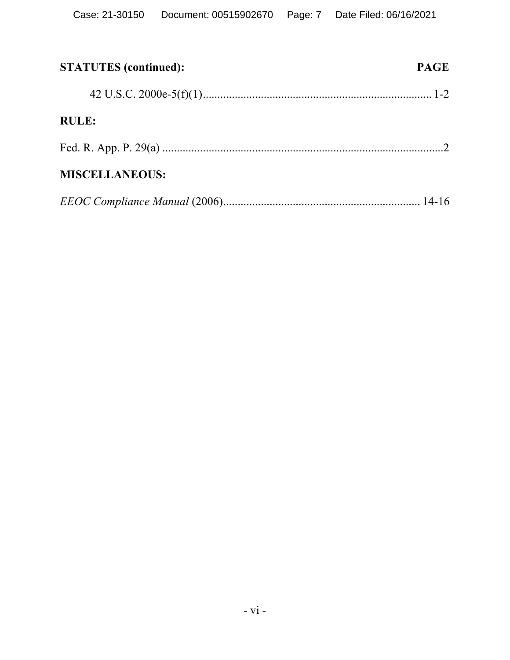| <b>STATUTES</b> (continued): | <b>PAGE</b> |
|------------------------------|-------------|
|                              |             |
| <b>RULE:</b>                 |             |
|                              |             |
| <b>MISCELLANEOUS:</b>        |             |
|                              |             |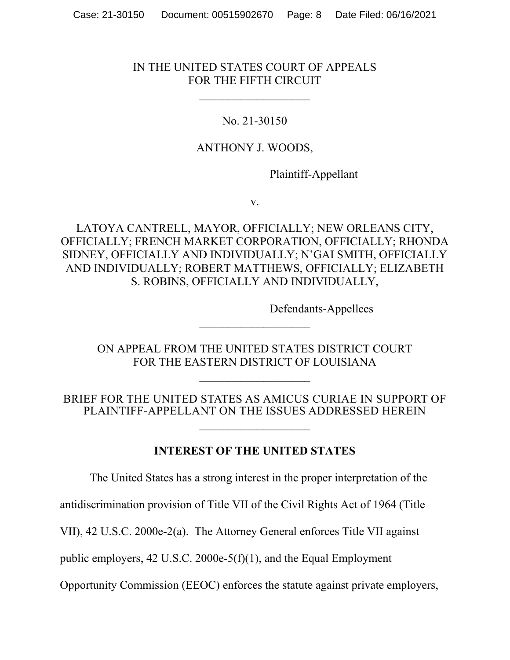# IN THE UNITED STATES COURT OF APPEALS FOR THE FIFTH CIRCUIT

 $\overline{\phantom{a}}$  , which is a set of the set of the set of the set of the set of the set of the set of the set of the set of the set of the set of the set of the set of the set of the set of the set of the set of the set of th

# No. 21-30150

## ANTHONY J. WOODS,

Plaintiff-Appellant

v.

LATOYA CANTRELL, MAYOR, OFFICIALLY; NEW ORLEANS CITY, OFFICIALLY; FRENCH MARKET CORPORATION, OFFICIALLY; RHONDA SIDNEY, OFFICIALLY AND INDIVIDUALLY; N'GAI SMITH, OFFICIALLY AND INDIVIDUALLY; ROBERT MATTHEWS, OFFICIALLY; ELIZABETH S. ROBINS, OFFICIALLY AND INDIVIDUALLY,

Defendants-Appellees

ON APPEAL FROM THE UNITED STATES DISTRICT COURT FOR THE EASTERN DISTRICT OF LOUISIANA

 $\overline{\phantom{a}}$  , where  $\overline{\phantom{a}}$ 

 $\overline{\phantom{a}}$  , where  $\overline{\phantom{a}}$ 

BRIEF FOR THE UNITED STATES AS AMICUS CURIAE IN SUPPORT OF PLAINTIFF-APPELLANT ON THE ISSUES ADDRESSED HEREIN

 $\overline{\phantom{a}}$  , where  $\overline{\phantom{a}}$ 

**INTEREST OF THE UNITED STATES**

The United States has a strong interest in the proper interpretation of the

antidiscrimination provision of Title VII of the Civil Rights Act of 1964 (Title

VII), 42 U.S.C. 2000e-2(a). The Attorney General enforces Title VII against

public employers, 42 U.S.C. 2000e-5(f)(1), and the Equal Employment

Opportunity Commission (EEOC) enforces the statute against private employers,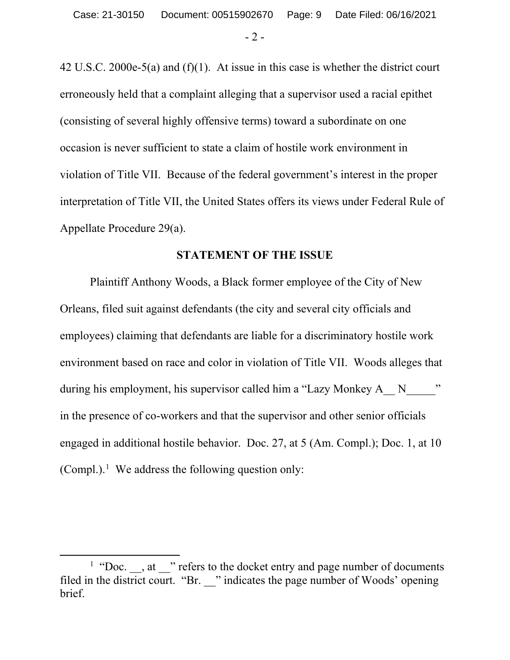- 2 -

42 U.S.C. 2000e-5(a) and (f)(1). At issue in this case is whether the district court erroneously held that a complaint alleging that a supervisor used a racial epithet (consisting of several highly offensive terms) toward a subordinate on one occasion is never sufficient to state a claim of hostile work environment in violation of Title VII. Because of the federal government's interest in the proper interpretation of Title VII, the United States offers its views under Federal Rule of Appellate Procedure 29(a).

#### **STATEMENT OF THE ISSUE**

Plaintiff Anthony Woods, a Black former employee of the City of New Orleans, filed suit against defendants (the city and several city officials and employees) claiming that defendants are liable for a discriminatory hostile work environment based on race and color in violation of Title VII. Woods alleges that during his employment, his supervisor called him a "Lazy Monkey A  $\rightarrow$  N  $\rightarrow$ " in the presence of co-workers and that the supervisor and other senior officials engaged in additional hostile behavior. Doc. 27, at 5 (Am. Compl.); Doc. 1, at 10 (Compl.).<sup>1</sup> We address the following question only:

<sup>&</sup>lt;sup>1</sup> "Doc.  $\Box$ , at  $\Box$ " refers to the docket entry and page number of documents filed in the district court. "Br. " indicates the page number of Woods' opening brief.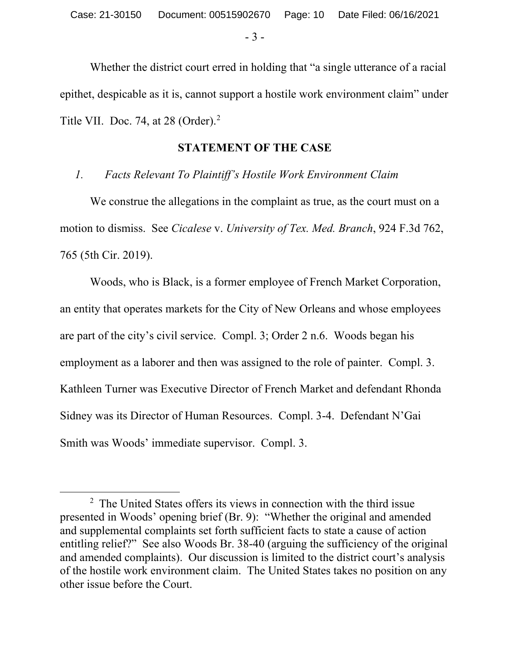- 3 -

Whether the district court erred in holding that "a single utterance of a racial epithet, despicable as it is, cannot support a hostile work environment claim" under Title VII. Doc. 74, at 28 (Order). $<sup>2</sup>$ </sup>

#### **STATEMENT OF THE CASE**

# *1. Facts Relevant To Plaintiff's Hostile Work Environment Claim*

We construe the allegations in the complaint as true, as the court must on a motion to dismiss. See *Cicalese* v. *University of Tex. Med. Branch*, 924 F.3d 762, 765 (5th Cir. 2019).

Woods, who is Black, is a former employee of French Market Corporation, an entity that operates markets for the City of New Orleans and whose employees are part of the city's civil service. Compl. 3; Order 2 n.6. Woods began his employment as a laborer and then was assigned to the role of painter. Compl. 3. Kathleen Turner was Executive Director of French Market and defendant Rhonda Sidney was its Director of Human Resources. Compl. 3-4. Defendant N'Gai Smith was Woods' immediate supervisor. Compl. 3.

<sup>&</sup>lt;sup>2</sup> The United States offers its views in connection with the third issue presented in Woods' opening brief (Br. 9): "Whether the original and amended and supplemental complaints set forth sufficient facts to state a cause of action entitling relief?" See also Woods Br. 38-40 (arguing the sufficiency of the original and amended complaints). Our discussion is limited to the district court's analysis of the hostile work environment claim. The United States takes no position on any other issue before the Court.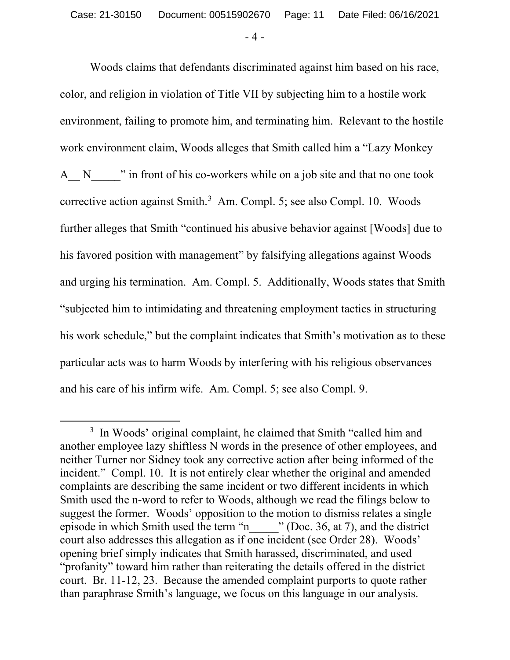- 4 -

Woods claims that defendants discriminated against him based on his race, color, and religion in violation of Title VII by subjecting him to a hostile work environment, failing to promote him, and terminating him. Relevant to the hostile work environment claim, Woods alleges that Smith called him a "Lazy Monkey A N  $\blacksquare$  " in front of his co-workers while on a job site and that no one took corrective action against Smith.<sup>3</sup> Am. Compl. 5; see also Compl. 10. Woods further alleges that Smith "continued his abusive behavior against [Woods] due to his favored position with management" by falsifying allegations against Woods and urging his termination. Am. Compl. 5. Additionally, Woods states that Smith "subjected him to intimidating and threatening employment tactics in structuring his work schedule," but the complaint indicates that Smith's motivation as to these particular acts was to harm Woods by interfering with his religious observances and his care of his infirm wife. Am. Compl. 5; see also Compl. 9.

 $\overline{\phantom{a}}$ <sup>3</sup> In Woods' original complaint, he claimed that Smith "called him and another employee lazy shiftless N words in the presence of other employees, and neither Turner nor Sidney took any corrective action after being informed of the incident." Compl. 10. It is not entirely clear whether the original and amended complaints are describing the same incident or two different incidents in which Smith used the n-word to refer to Woods, although we read the filings below to suggest the former. Woods' opposition to the motion to dismiss relates a single episode in which Smith used the term "n\_\_\_\_\_" (Doc. 36, at 7), and the district court also addresses this allegation as if one incident (see Order 28). Woods' opening brief simply indicates that Smith harassed, discriminated, and used "profanity" toward him rather than reiterating the details offered in the district court. Br. 11-12, 23. Because the amended complaint purports to quote rather than paraphrase Smith's language, we focus on this language in our analysis.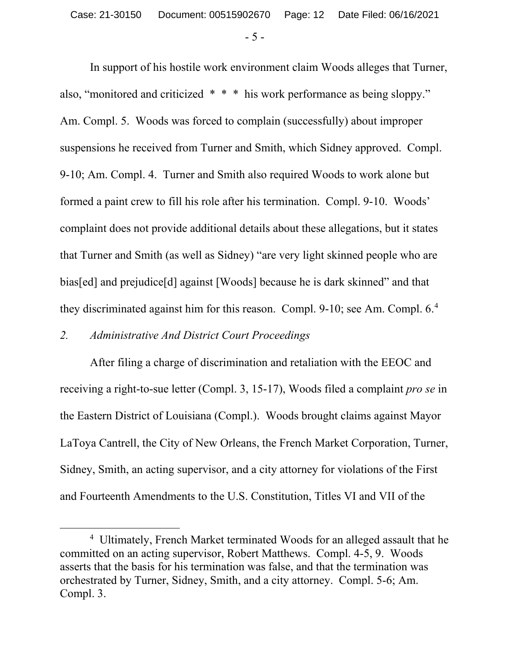- 5 -

In support of his hostile work environment claim Woods alleges that Turner, also, "monitored and criticized \* \* \* his work performance as being sloppy." Am. Compl. 5. Woods was forced to complain (successfully) about improper suspensions he received from Turner and Smith, which Sidney approved. Compl. 9-10; Am. Compl. 4. Turner and Smith also required Woods to work alone but formed a paint crew to fill his role after his termination. Compl. 9-10. Woods' complaint does not provide additional details about these allegations, but it states that Turner and Smith (as well as Sidney) "are very light skinned people who are bias[ed] and prejudice[d] against [Woods] because he is dark skinned" and that they discriminated against him for this reason. Compl. 9-10; see Am. Compl. 6.<sup>4</sup>

# *2. Administrative And District Court Proceedings*

After filing a charge of discrimination and retaliation with the EEOC and receiving a right-to-sue letter (Compl. 3, 15-17), Woods filed a complaint *pro se* in the Eastern District of Louisiana (Compl.). Woods brought claims against Mayor LaToya Cantrell, the City of New Orleans, the French Market Corporation, Turner, Sidney, Smith, an acting supervisor, and a city attorney for violations of the First and Fourteenth Amendments to the U.S. Constitution, Titles VI and VII of the

 $\overline{4}$ <sup>4</sup> Ultimately, French Market terminated Woods for an alleged assault that he committed on an acting supervisor, Robert Matthews. Compl. 4-5, 9. Woods asserts that the basis for his termination was false, and that the termination was orchestrated by Turner, Sidney, Smith, and a city attorney. Compl. 5-6; Am. Compl. 3.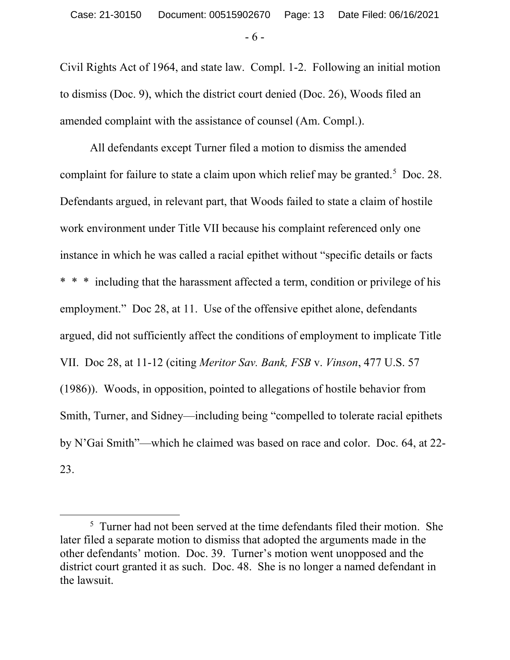- 6 -

Civil Rights Act of 1964, and state law. Compl. 1-2. Following an initial motion to dismiss (Doc. 9), which the district court denied (Doc. 26), Woods filed an amended complaint with the assistance of counsel (Am. Compl.).

All defendants except Turner filed a motion to dismiss the amended complaint for failure to state a claim upon which relief may be granted.<sup>5</sup> Doc. 28. Defendants argued, in relevant part, that Woods failed to state a claim of hostile work environment under Title VII because his complaint referenced only one instance in which he was called a racial epithet without "specific details or facts \* \* \* including that the harassment affected a term, condition or privilege of his employment." Doc 28, at 11. Use of the offensive epithet alone, defendants argued, did not sufficiently affect the conditions of employment to implicate Title VII. Doc 28, at 11-12 (citing *Meritor Sav. Bank, FSB* v. *Vinson*, 477 U.S. 57 (1986)). Woods, in opposition, pointed to allegations of hostile behavior from Smith, Turner, and Sidney—including being "compelled to tolerate racial epithets by N'Gai Smith"—which he claimed was based on race and color. Doc. 64, at 22- 23.

 $\frac{1}{5}$ <sup>5</sup> Turner had not been served at the time defendants filed their motion. She later filed a separate motion to dismiss that adopted the arguments made in the other defendants' motion. Doc. 39. Turner's motion went unopposed and the district court granted it as such. Doc. 48. She is no longer a named defendant in the lawsuit.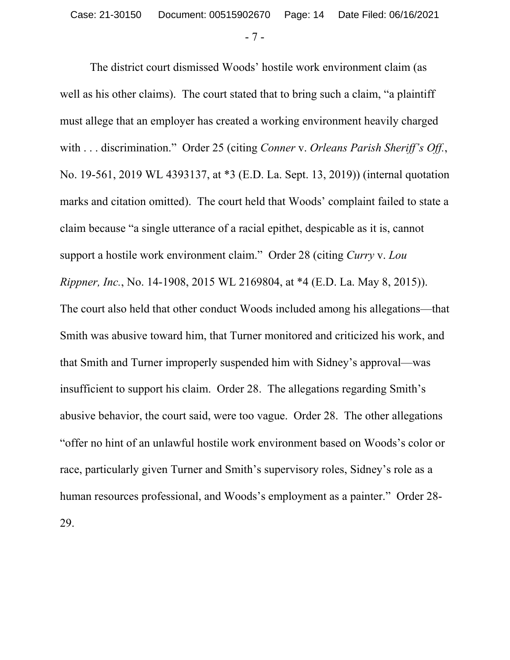- 7 -

The district court dismissed Woods' hostile work environment claim (as well as his other claims). The court stated that to bring such a claim, "a plaintiff must allege that an employer has created a working environment heavily charged with . . . discrimination." Order 25 (citing *Conner* v. *Orleans Parish Sheriff's Off.*, No. 19-561, 2019 WL 4393137, at \*3 (E.D. La. Sept. 13, 2019)) (internal quotation marks and citation omitted). The court held that Woods' complaint failed to state a claim because "a single utterance of a racial epithet, despicable as it is, cannot support a hostile work environment claim." Order 28 (citing *Curry* v. *Lou Rippner, Inc.*, No. 14-1908, 2015 WL 2169804, at \*4 (E.D. La. May 8, 2015)). The court also held that other conduct Woods included among his allegations—that Smith was abusive toward him, that Turner monitored and criticized his work, and that Smith and Turner improperly suspended him with Sidney's approval—was insufficient to support his claim. Order 28. The allegations regarding Smith's abusive behavior, the court said, were too vague. Order 28. The other allegations "offer no hint of an unlawful hostile work environment based on Woods's color or race, particularly given Turner and Smith's supervisory roles, Sidney's role as a human resources professional, and Woods's employment as a painter." Order 28- 29.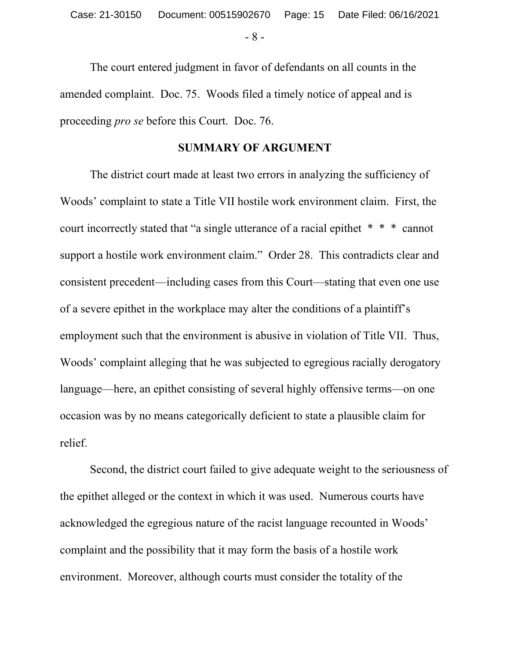- 8 -

The court entered judgment in favor of defendants on all counts in the amended complaint. Doc. 75. Woods filed a timely notice of appeal and is proceeding *pro se* before this Court. Doc. 76.

#### **SUMMARY OF ARGUMENT**

The district court made at least two errors in analyzing the sufficiency of Woods' complaint to state a Title VII hostile work environment claim. First, the court incorrectly stated that "a single utterance of a racial epithet \* \* \* cannot support a hostile work environment claim." Order 28. This contradicts clear and consistent precedent—including cases from this Court—stating that even one use of a severe epithet in the workplace may alter the conditions of a plaintiff's employment such that the environment is abusive in violation of Title VII. Thus, Woods' complaint alleging that he was subjected to egregious racially derogatory language—here, an epithet consisting of several highly offensive terms—on one occasion was by no means categorically deficient to state a plausible claim for relief.

Second, the district court failed to give adequate weight to the seriousness of the epithet alleged or the context in which it was used. Numerous courts have acknowledged the egregious nature of the racist language recounted in Woods' complaint and the possibility that it may form the basis of a hostile work environment. Moreover, although courts must consider the totality of the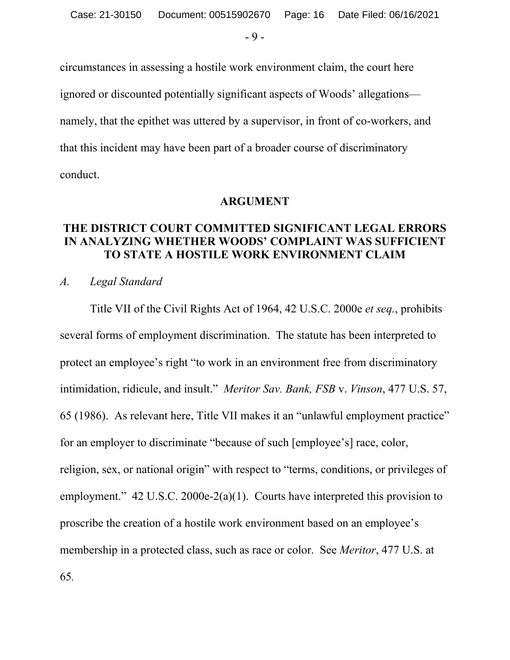- 9 -

circumstances in assessing a hostile work environment claim, the court here ignored or discounted potentially significant aspects of Woods' allegations namely, that the epithet was uttered by a supervisor, in front of co-workers, and that this incident may have been part of a broader course of discriminatory conduct.

#### **ARGUMENT**

## **THE DISTRICT COURT COMMITTED SIGNIFICANT LEGAL ERRORS IN ANALYZING WHETHER WOODS' COMPLAINT WAS SUFFICIENT TO STATE A HOSTILE WORK ENVIRONMENT CLAIM**

# *A. Legal Standard*

Title VII of the Civil Rights Act of 1964, 42 U.S.C. 2000e *et seq.*, prohibits several forms of employment discrimination. The statute has been interpreted to protect an employee's right "to work in an environment free from discriminatory intimidation, ridicule, and insult." *Meritor Sav. Bank, FSB* v. *Vinson*, 477 U.S. 57, 65 (1986). As relevant here, Title VII makes it an "unlawful employment practice" for an employer to discriminate "because of such [employee's] race, color, religion, sex, or national origin" with respect to "terms, conditions, or privileges of employment."  $42 \text{ U.S.C. } 2000e-2(a)(1)$ . Courts have interpreted this provision to proscribe the creation of a hostile work environment based on an employee's membership in a protected class, such as race or color. See *Meritor*, 477 U.S. at 65*.*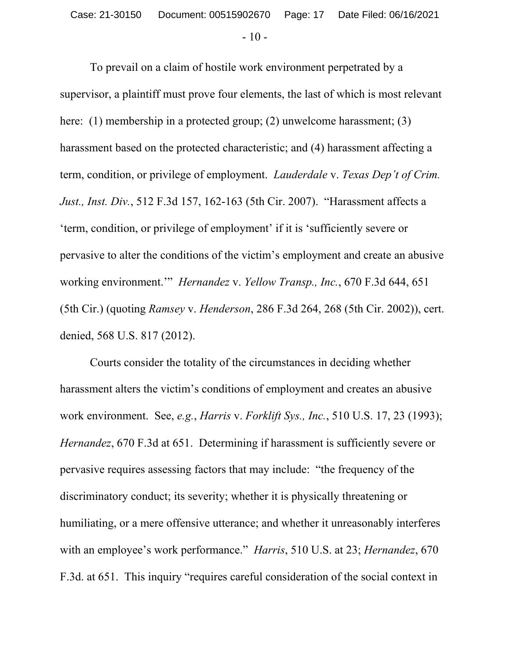To prevail on a claim of hostile work environment perpetrated by a supervisor, a plaintiff must prove four elements, the last of which is most relevant here: (1) membership in a protected group; (2) unwelcome harassment; (3) harassment based on the protected characteristic; and (4) harassment affecting a term, condition, or privilege of employment. *Lauderdale* v. *Texas Dep't of Crim. Just., Inst. Div.*, 512 F.3d 157, 162-163 (5th Cir. 2007). "Harassment affects a 'term, condition, or privilege of employment' if it is 'sufficiently severe or pervasive to alter the conditions of the victim's employment and create an abusive working environment.'" *Hernandez* v. *Yellow Transp., Inc.*, 670 F.3d 644, 651 (5th Cir.) (quoting *Ramsey* v. *Henderson*, 286 F.3d 264, 268 (5th Cir. 2002)), cert. denied, 568 U.S. 817 (2012).

Courts consider the totality of the circumstances in deciding whether harassment alters the victim's conditions of employment and creates an abusive work environment. See, *e.g.*, *Harris* v. *Forklift Sys., Inc.*, 510 U.S. 17, 23 (1993); *Hernandez*, 670 F.3d at 651. Determining if harassment is sufficiently severe or pervasive requires assessing factors that may include: "the frequency of the discriminatory conduct; its severity; whether it is physically threatening or humiliating, or a mere offensive utterance; and whether it unreasonably interferes with an employee's work performance." *Harris*, 510 U.S. at 23; *Hernandez*, 670 F.3d. at 651. This inquiry "requires careful consideration of the social context in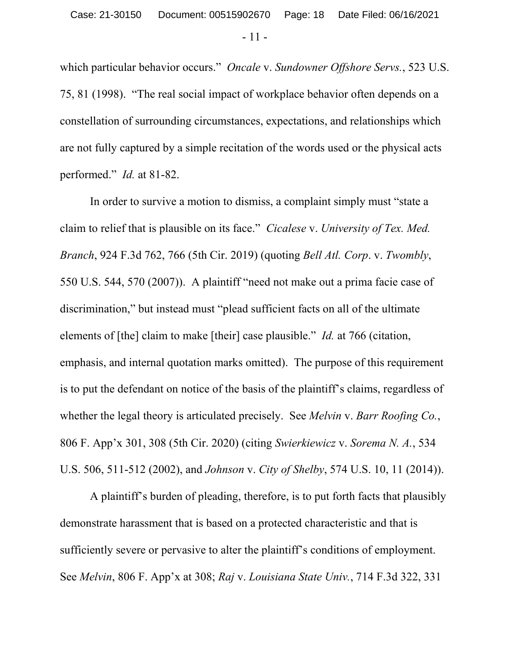- 11 -

which particular behavior occurs." *Oncale* v. *Sundowner Offshore Servs.*, 523 U.S. 75, 81 (1998). "The real social impact of workplace behavior often depends on a constellation of surrounding circumstances, expectations, and relationships which are not fully captured by a simple recitation of the words used or the physical acts performed." *Id.* at 81-82.

In order to survive a motion to dismiss, a complaint simply must "state a claim to relief that is plausible on its face." *Cicalese* v. *University of Tex. Med. Branch*, 924 F.3d 762, 766 (5th Cir. 2019) (quoting *Bell Atl. Corp*. v. *Twombly*, 550 U.S. 544, 570 (2007)). A plaintiff "need not make out a prima facie case of discrimination," but instead must "plead sufficient facts on all of the ultimate elements of [the] claim to make [their] case plausible." *Id.* at 766 (citation, emphasis, and internal quotation marks omitted). The purpose of this requirement is to put the defendant on notice of the basis of the plaintiff's claims, regardless of whether the legal theory is articulated precisely. See *Melvin* v. *Barr Roofing Co.*, 806 F. App'x 301, 308 (5th Cir. 2020) (citing *Swierkiewicz* v. *Sorema N. A.*, 534 U.S. 506, 511-512 (2002), and *Johnson* v. *City of Shelby*, 574 U.S. 10, 11 (2014)).

A plaintiff's burden of pleading, therefore, is to put forth facts that plausibly demonstrate harassment that is based on a protected characteristic and that is sufficiently severe or pervasive to alter the plaintiff's conditions of employment. See *Melvin*, 806 F. App'x at 308; *Raj* v. *Louisiana State Univ.*, 714 F.3d 322, 331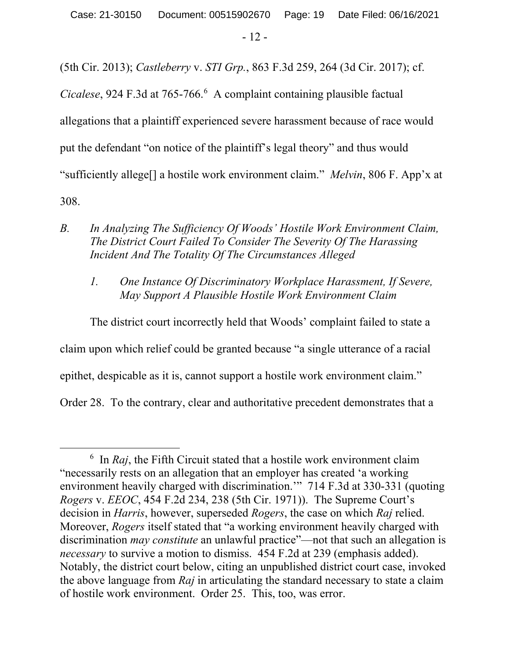Case: 21-30150 Document: 00515902670 Page: 19 Date Filed: 06/16/2021

- 12 -

(5th Cir. 2013); *Castleberry* v. *STI Grp.*, 863 F.3d 259, 264 (3d Cir. 2017); cf.

Cicalese, 924 F.3d at 765-766.<sup>6</sup> A complaint containing plausible factual allegations that a plaintiff experienced severe harassment because of race would put the defendant "on notice of the plaintiff's legal theory" and thus would "sufficiently allege[] a hostile work environment claim." *Melvin*, 806 F. App'x at 308.

- *B. In Analyzing The Sufficiency Of Woods' Hostile Work Environment Claim, The District Court Failed To Consider The Severity Of The Harassing Incident And The Totality Of The Circumstances Alleged* 
	- *1. One Instance Of Discriminatory Workplace Harassment, If Severe, May Support A Plausible Hostile Work Environment Claim*

The district court incorrectly held that Woods' complaint failed to state a claim upon which relief could be granted because "a single utterance of a racial epithet, despicable as it is, cannot support a hostile work environment claim." Order 28. To the contrary, clear and authoritative precedent demonstrates that a

 <sup>6</sup>  $\delta$  In *Raj*, the Fifth Circuit stated that a hostile work environment claim "necessarily rests on an allegation that an employer has created 'a working environment heavily charged with discrimination.'" 714 F.3d at 330-331 (quoting *Rogers* v. *EEOC*, 454 F.2d 234, 238 (5th Cir. 1971)). The Supreme Court's decision in *Harris*, however, superseded *Rogers*, the case on which *Raj* relied. Moreover, *Rogers* itself stated that "a working environment heavily charged with discrimination *may constitute* an unlawful practice"—not that such an allegation is *necessary* to survive a motion to dismiss. 454 F.2d at 239 (emphasis added). Notably, the district court below, citing an unpublished district court case, invoked the above language from *Raj* in articulating the standard necessary to state a claim of hostile work environment. Order 25. This, too, was error.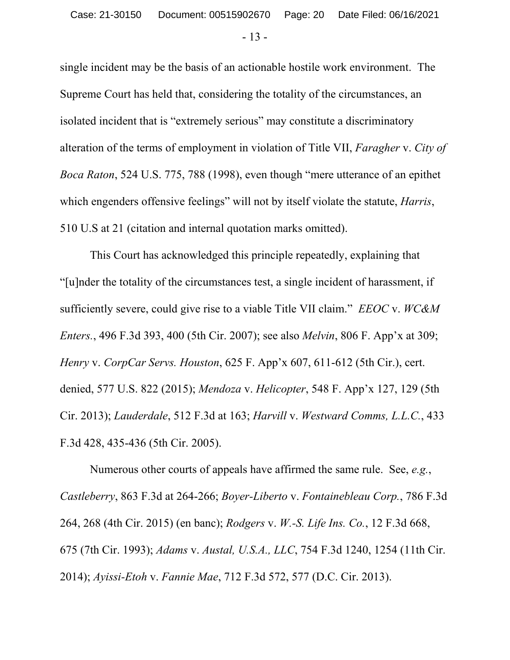- 13 -

single incident may be the basis of an actionable hostile work environment. The Supreme Court has held that, considering the totality of the circumstances, an isolated incident that is "extremely serious" may constitute a discriminatory alteration of the terms of employment in violation of Title VII, *Faragher* v. *City of Boca Raton*, 524 U.S. 775, 788 (1998), even though "mere utterance of an epithet which engenders offensive feelings" will not by itself violate the statute, *Harris*, 510 U.S at 21 (citation and internal quotation marks omitted).

This Court has acknowledged this principle repeatedly, explaining that "[u]nder the totality of the circumstances test, a single incident of harassment, if sufficiently severe, could give rise to a viable Title VII claim." *EEOC* v. *WC&M Enters.*, 496 F.3d 393, 400 (5th Cir. 2007); see also *Melvin*, 806 F. App'x at 309; *Henry* v. *CorpCar Servs. Houston*, 625 F. App'x 607, 611-612 (5th Cir.), cert. denied, 577 U.S. 822 (2015); *Mendoza* v. *Helicopter*, 548 F. App'x 127, 129 (5th Cir. 2013); *Lauderdale*, 512 F.3d at 163; *Harvill* v. *Westward Comms, L.L.C.*, 433 F.3d 428, 435-436 (5th Cir. 2005).

Numerous other courts of appeals have affirmed the same rule. See, *e.g.*, *Castleberry*, 863 F.3d at 264-266; *Boyer-Liberto* v. *Fontainebleau Corp.*, 786 F.3d 264, 268 (4th Cir. 2015) (en banc); *Rodgers* v. *W.-S. Life Ins. Co.*, 12 F.3d 668, 675 (7th Cir. 1993); *Adams* v. *Austal, U.S.A., LLC*, 754 F.3d 1240, 1254 (11th Cir. 2014); *Ayissi-Etoh* v. *Fannie Mae*, 712 F.3d 572, 577 (D.C. Cir. 2013).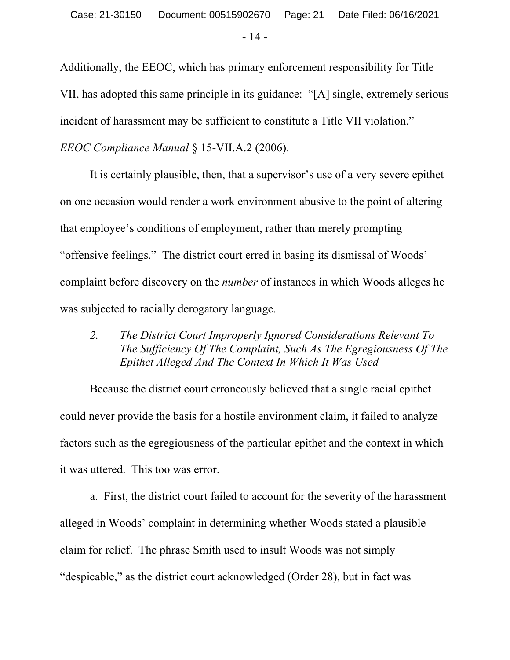Additionally, the EEOC, which has primary enforcement responsibility for Title VII, has adopted this same principle in its guidance: "[A] single, extremely serious incident of harassment may be sufficient to constitute a Title VII violation."

*EEOC Compliance Manual* § 15-VII.A.2 (2006).

It is certainly plausible, then, that a supervisor's use of a very severe epithet on one occasion would render a work environment abusive to the point of altering that employee's conditions of employment, rather than merely prompting "offensive feelings." The district court erred in basing its dismissal of Woods' complaint before discovery on the *number* of instances in which Woods alleges he was subjected to racially derogatory language.

*2. The District Court Improperly Ignored Considerations Relevant To The Sufficiency Of The Complaint, Such As The Egregiousness Of The Epithet Alleged And The Context In Which It Was Used*

Because the district court erroneously believed that a single racial epithet could never provide the basis for a hostile environment claim, it failed to analyze factors such as the egregiousness of the particular epithet and the context in which it was uttered. This too was error.

a. First, the district court failed to account for the severity of the harassment alleged in Woods' complaint in determining whether Woods stated a plausible claim for relief. The phrase Smith used to insult Woods was not simply "despicable," as the district court acknowledged (Order 28), but in fact was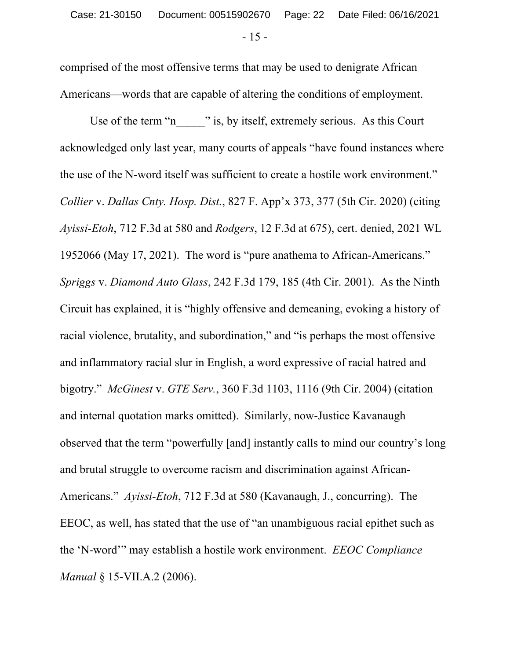comprised of the most offensive terms that may be used to denigrate African Americans—words that are capable of altering the conditions of employment.

Use of the term "n\_\_\_\_\_\_" is, by itself, extremely serious. As this Court acknowledged only last year, many courts of appeals "have found instances where the use of the N-word itself was sufficient to create a hostile work environment." *Collier* v. *Dallas Cnty. Hosp. Dist.*, 827 F. App'x 373, 377 (5th Cir. 2020) (citing *Ayissi-Etoh*, 712 F.3d at 580 and *Rodgers*, 12 F.3d at 675), cert. denied, 2021 WL 1952066 (May 17, 2021). The word is "pure anathema to African-Americans." *Spriggs* v. *Diamond Auto Glass*, 242 F.3d 179, 185 (4th Cir. 2001). As the Ninth Circuit has explained, it is "highly offensive and demeaning, evoking a history of racial violence, brutality, and subordination," and "is perhaps the most offensive and inflammatory racial slur in English, a word expressive of racial hatred and bigotry." *McGinest* v. *GTE Serv.*, 360 F.3d 1103, 1116 (9th Cir. 2004) (citation and internal quotation marks omitted). Similarly, now-Justice Kavanaugh observed that the term "powerfully [and] instantly calls to mind our country's long and brutal struggle to overcome racism and discrimination against African-Americans." *Ayissi-Etoh*, 712 F.3d at 580 (Kavanaugh, J., concurring). The EEOC, as well, has stated that the use of "an unambiguous racial epithet such as the 'N-word'" may establish a hostile work environment. *EEOC Compliance Manual* § 15-VII.A.2 (2006).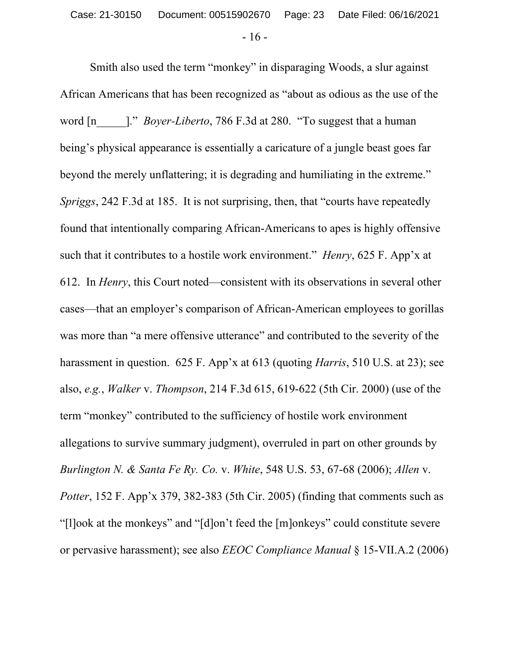Smith also used the term "monkey" in disparaging Woods, a slur against African Americans that has been recognized as "about as odious as the use of the word [n  $\blacksquare$ ." *Boyer-Liberto*, 786 F.3d at 280. "To suggest that a human being's physical appearance is essentially a caricature of a jungle beast goes far beyond the merely unflattering; it is degrading and humiliating in the extreme." *Spriggs*, 242 F.3d at 185. It is not surprising, then, that "courts have repeatedly found that intentionally comparing African-Americans to apes is highly offensive such that it contributes to a hostile work environment." *Henry*, 625 F. App'x at 612. In *Henry*, this Court noted—consistent with its observations in several other cases—that an employer's comparison of African-American employees to gorillas was more than "a mere offensive utterance" and contributed to the severity of the harassment in question. 625 F. App'x at 613 (quoting *Harris*, 510 U.S. at 23); see also, *e.g.*, *Walker* v. *Thompson*, 214 F.3d 615, 619-622 (5th Cir. 2000) (use of the term "monkey" contributed to the sufficiency of hostile work environment allegations to survive summary judgment), overruled in part on other grounds by *Burlington N. & Santa Fe Ry. Co.* v. *White*, 548 U.S. 53, 67-68 (2006); *Allen* v. *Potter*, 152 F. App'x 379, 382-383 (5th Cir. 2005) (finding that comments such as "[l]ook at the monkeys" and "[d]on't feed the [m]onkeys" could constitute severe or pervasive harassment); see also *EEOC Compliance Manual* § 15-VII.A.2 (2006)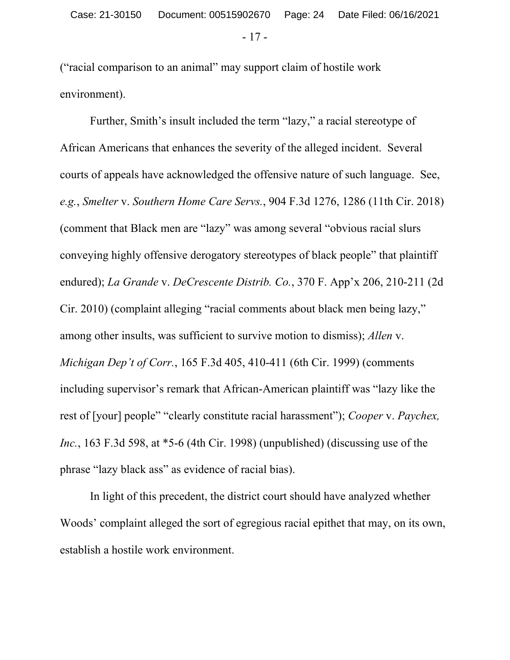- 17 -

("racial comparison to an animal" may support claim of hostile work environment).

Further, Smith's insult included the term "lazy," a racial stereotype of African Americans that enhances the severity of the alleged incident. Several courts of appeals have acknowledged the offensive nature of such language. See, *e.g.*, *Smelter* v. *Southern Home Care Servs.*, 904 F.3d 1276, 1286 (11th Cir. 2018) (comment that Black men are "lazy" was among several "obvious racial slurs conveying highly offensive derogatory stereotypes of black people" that plaintiff endured); *La Grande* v. *DeCrescente Distrib. Co.*, 370 F. App'x 206, 210-211 (2d Cir. 2010) (complaint alleging "racial comments about black men being lazy," among other insults, was sufficient to survive motion to dismiss); *Allen* v. *Michigan Dep't of Corr.*, 165 F.3d 405, 410-411 (6th Cir. 1999) (comments including supervisor's remark that African-American plaintiff was "lazy like the rest of [your] people" "clearly constitute racial harassment"); *Cooper* v. *Paychex, Inc.*, 163 F.3d 598, at \*5-6 (4th Cir. 1998) (unpublished) (discussing use of the phrase "lazy black ass" as evidence of racial bias).

In light of this precedent, the district court should have analyzed whether Woods' complaint alleged the sort of egregious racial epithet that may, on its own, establish a hostile work environment.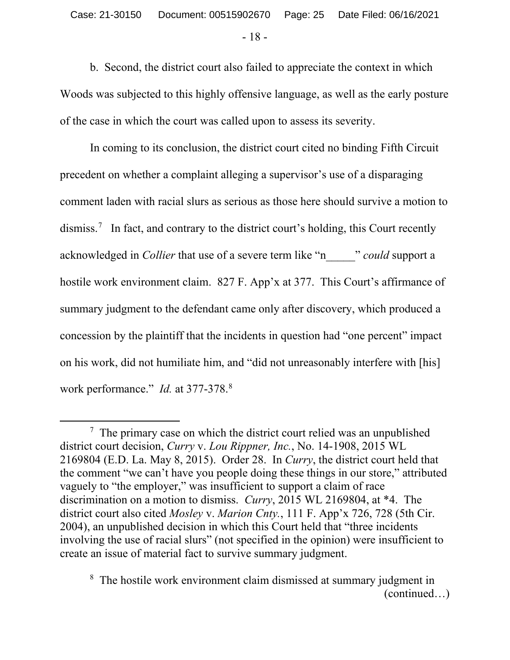b. Second, the district court also failed to appreciate the context in which Woods was subjected to this highly offensive language, as well as the early posture of the case in which the court was called upon to assess its severity.

In coming to its conclusion, the district court cited no binding Fifth Circuit precedent on whether a complaint alleging a supervisor's use of a disparaging comment laden with racial slurs as serious as those here should survive a motion to dismiss.<sup>7</sup> In fact, and contrary to the district court's holding, this Court recently acknowledged in *Collier* that use of a severe term like "n\_\_\_\_\_" *could* support a hostile work environment claim. 827 F. App'x at 377. This Court's affirmance of summary judgment to the defendant came only after discovery, which produced a concession by the plaintiff that the incidents in question had "one percent" impact on his work, did not humiliate him, and "did not unreasonably interfere with [his] work performance." *Id.* at 377-378.<sup>8</sup>

 <sup>7</sup>  $\frac{7}{1}$  The primary case on which the district court relied was an unpublished district court decision, *Curry* v. *Lou Rippner, Inc.*, No. 14-1908, 2015 WL 2169804 (E.D. La. May 8, 2015). Order 28. In *Curry*, the district court held that the comment "we can't have you people doing these things in our store," attributed vaguely to "the employer," was insufficient to support a claim of race discrimination on a motion to dismiss. *Curry*, 2015 WL 2169804, at \*4. The district court also cited *Mosley* v. *Marion Cnty.*, 111 F. App'x 726, 728 (5th Cir. 2004), an unpublished decision in which this Court held that "three incidents involving the use of racial slurs" (not specified in the opinion) were insufficient to create an issue of material fact to survive summary judgment.

<sup>8</sup> The hostile work environment claim dismissed at summary judgment in (continued…)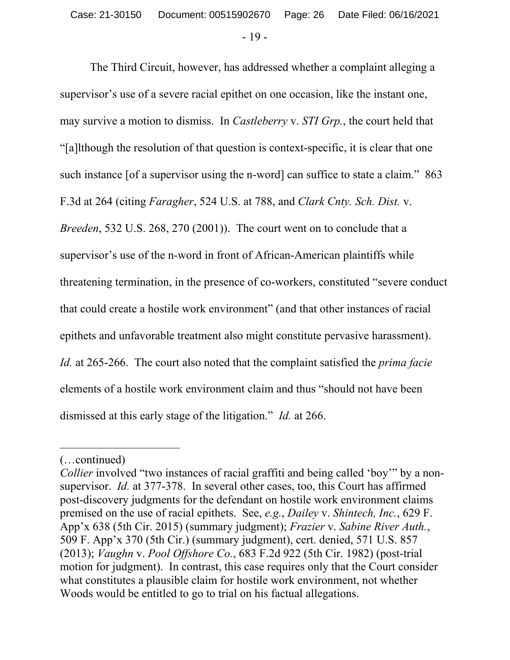The Third Circuit, however, has addressed whether a complaint alleging a supervisor's use of a severe racial epithet on one occasion, like the instant one, may survive a motion to dismiss. In *Castleberry* v. *STI Grp.*, the court held that "[a]lthough the resolution of that question is context-specific, it is clear that one such instance [of a supervisor using the n-word] can suffice to state a claim." 863 F.3d at 264 (citing *Faragher*, 524 U.S. at 788, and *Clark Cnty. Sch. Dist.* v. *Breeden*, 532 U.S. 268, 270 (2001)). The court went on to conclude that a supervisor's use of the n-word in front of African-American plaintiffs while threatening termination, in the presence of co-workers, constituted "severe conduct that could create a hostile work environment" (and that other instances of racial epithets and unfavorable treatment also might constitute pervasive harassment). *Id.* at 265-266. The court also noted that the complaint satisfied the *prima facie*  elements of a hostile work environment claim and thus "should not have been dismissed at this early stage of the litigation." *Id.* at 266.

 $\overline{a}$ 

<sup>(…</sup>continued)

*Collier* involved "two instances of racial graffiti and being called 'boy'" by a nonsupervisor. *Id.* at 377-378. In several other cases, too, this Court has affirmed post-discovery judgments for the defendant on hostile work environment claims premised on the use of racial epithets. See, *e.g.*, *Dailey* v. *Shintech, Inc.*, 629 F. App'x 638 (5th Cir. 2015) (summary judgment); *Frazier* v. *Sabine River Auth.*, 509 F. App'x 370 (5th Cir.) (summary judgment), cert. denied, 571 U.S. 857 (2013); *Vaughn* v. *Pool Offshore Co.*, 683 F.2d 922 (5th Cir. 1982) (post-trial motion for judgment). In contrast, this case requires only that the Court consider what constitutes a plausible claim for hostile work environment, not whether Woods would be entitled to go to trial on his factual allegations.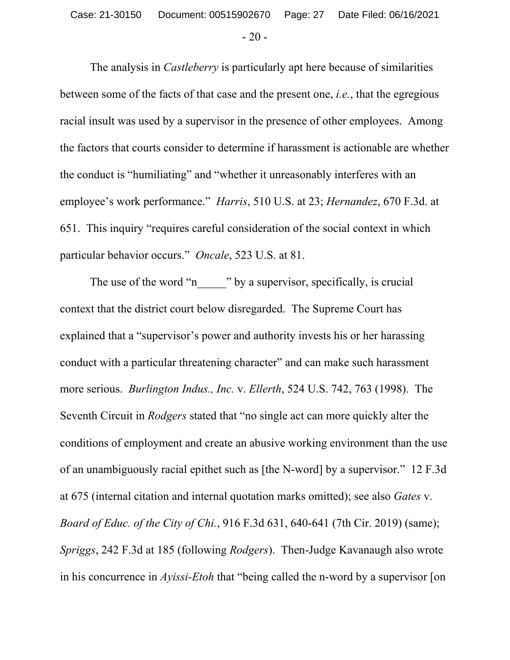The analysis in *Castleberry* is particularly apt here because of similarities between some of the facts of that case and the present one, *i.e.*, that the egregious racial insult was used by a supervisor in the presence of other employees. Among the factors that courts consider to determine if harassment is actionable are whether the conduct is "humiliating" and "whether it unreasonably interferes with an employee's work performance." *Harris*, 510 U.S. at 23; *Hernandez*, 670 F.3d. at 651. This inquiry "requires careful consideration of the social context in which particular behavior occurs." *Oncale*, 523 U.S. at 81.

The use of the word "n\_\_\_\_\_\_" by a supervisor, specifically, is crucial context that the district court below disregarded. The Supreme Court has explained that a "supervisor's power and authority invests his or her harassing conduct with a particular threatening character" and can make such harassment more serious. *Burlington Indus., Inc.* v. *Ellerth*, 524 U.S. 742, 763 (1998). The Seventh Circuit in *Rodgers* stated that "no single act can more quickly alter the conditions of employment and create an abusive working environment than the use of an unambiguously racial epithet such as [the N-word] by a supervisor." 12 F.3d at 675 (internal citation and internal quotation marks omitted); see also *Gates* v. *Board of Educ. of the City of Chi.*, 916 F.3d 631, 640-641 (7th Cir. 2019) (same); *Spriggs*, 242 F.3d at 185 (following *Rodgers*). Then-Judge Kavanaugh also wrote in his concurrence in *Ayissi-Etoh* that "being called the n-word by a supervisor [on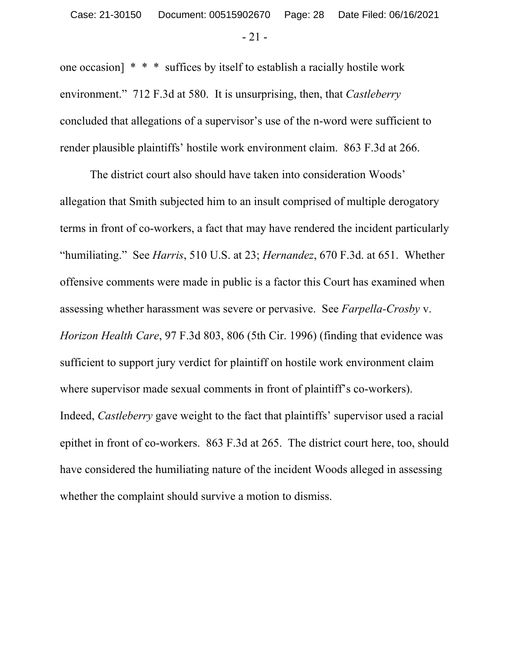- 21 -

one occasion]  $* * *$  suffices by itself to establish a racially hostile work environment." 712 F.3d at 580. It is unsurprising, then, that *Castleberry* concluded that allegations of a supervisor's use of the n-word were sufficient to render plausible plaintiffs' hostile work environment claim. 863 F.3d at 266.

The district court also should have taken into consideration Woods' allegation that Smith subjected him to an insult comprised of multiple derogatory terms in front of co-workers, a fact that may have rendered the incident particularly "humiliating." See *Harris*, 510 U.S. at 23; *Hernandez*, 670 F.3d. at 651. Whether offensive comments were made in public is a factor this Court has examined when assessing whether harassment was severe or pervasive. See *Farpella-Crosby* v. *Horizon Health Care*, 97 F.3d 803, 806 (5th Cir. 1996) (finding that evidence was sufficient to support jury verdict for plaintiff on hostile work environment claim where supervisor made sexual comments in front of plaintiff's co-workers). Indeed, *Castleberry* gave weight to the fact that plaintiffs' supervisor used a racial epithet in front of co-workers. 863 F.3d at 265. The district court here, too, should have considered the humiliating nature of the incident Woods alleged in assessing whether the complaint should survive a motion to dismiss.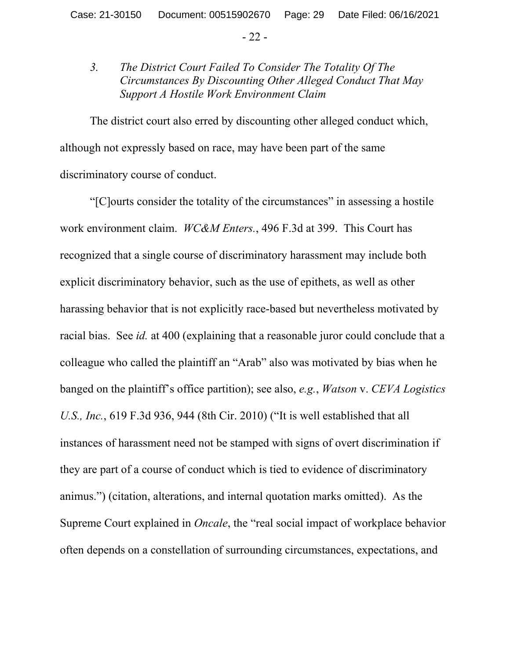- 22 -

# *3. The District Court Failed To Consider The Totality Of The Circumstances By Discounting Other Alleged Conduct That May Support A Hostile Work Environment Claim*

The district court also erred by discounting other alleged conduct which, although not expressly based on race, may have been part of the same discriminatory course of conduct.

"[C]ourts consider the totality of the circumstances" in assessing a hostile work environment claim. *WC&M Enters.*, 496 F.3d at 399. This Court has recognized that a single course of discriminatory harassment may include both explicit discriminatory behavior, such as the use of epithets, as well as other harassing behavior that is not explicitly race-based but nevertheless motivated by racial bias. See *id.* at 400 (explaining that a reasonable juror could conclude that a colleague who called the plaintiff an "Arab" also was motivated by bias when he banged on the plaintiff's office partition); see also, *e.g.*, *Watson* v. *CEVA Logistics U.S., Inc.*, 619 F.3d 936, 944 (8th Cir. 2010) ("It is well established that all instances of harassment need not be stamped with signs of overt discrimination if they are part of a course of conduct which is tied to evidence of discriminatory animus.") (citation, alterations, and internal quotation marks omitted). As the Supreme Court explained in *Oncale*, the "real social impact of workplace behavior often depends on a constellation of surrounding circumstances, expectations, and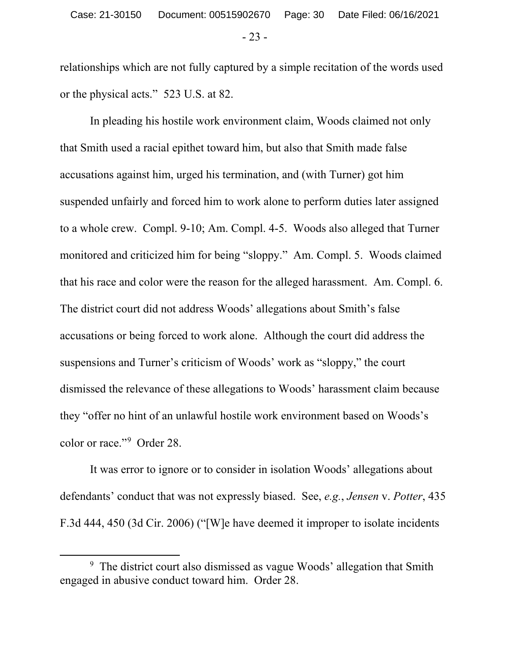relationships which are not fully captured by a simple recitation of the words used or the physical acts." 523 U.S. at 82.

In pleading his hostile work environment claim, Woods claimed not only that Smith used a racial epithet toward him, but also that Smith made false accusations against him, urged his termination, and (with Turner) got him suspended unfairly and forced him to work alone to perform duties later assigned to a whole crew. Compl. 9-10; Am. Compl. 4-5. Woods also alleged that Turner monitored and criticized him for being "sloppy." Am. Compl. 5. Woods claimed that his race and color were the reason for the alleged harassment. Am. Compl. 6. The district court did not address Woods' allegations about Smith's false accusations or being forced to work alone. Although the court did address the suspensions and Turner's criticism of Woods' work as "sloppy," the court dismissed the relevance of these allegations to Woods' harassment claim because they "offer no hint of an unlawful hostile work environment based on Woods's color or race."9 Order 28.

It was error to ignore or to consider in isolation Woods' allegations about defendants' conduct that was not expressly biased. See, *e.g.*, *Jensen* v. *Potter*, 435 F.3d 444, 450 (3d Cir. 2006) ("[W]e have deemed it improper to isolate incidents

 <sup>9</sup>  $9$  The district court also dismissed as vague Woods' allegation that Smith engaged in abusive conduct toward him. Order 28.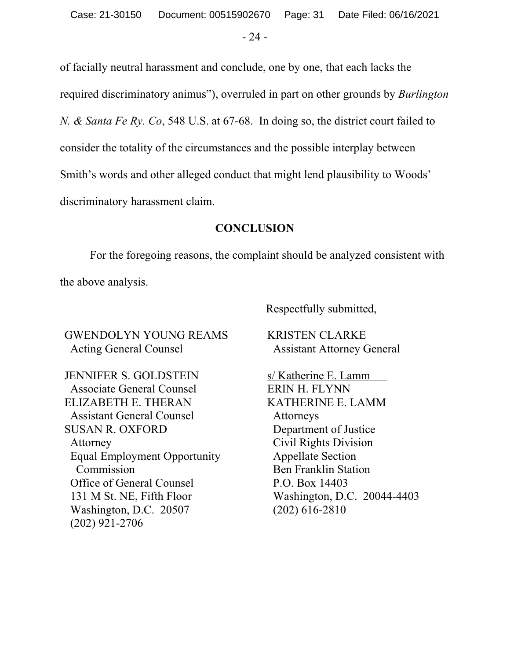- 24 -

of facially neutral harassment and conclude, one by one, that each lacks the required discriminatory animus"), overruled in part on other grounds by *Burlington N. & Santa Fe Ry. Co*, 548 U.S. at 67-68. In doing so, the district court failed to consider the totality of the circumstances and the possible interplay between Smith's words and other alleged conduct that might lend plausibility to Woods' discriminatory harassment claim.

### **CONCLUSION**

For the foregoing reasons, the complaint should be analyzed consistent with the above analysis.

GWENDOLYN YOUNG REAMS Acting General Counsel

JENNIFER S. GOLDSTEIN Associate General Counsel ELIZABETH E. THERAN Assistant General Counsel SUSAN R. OXFORD Attorney Equal Employment Opportunity Commission Office of General Counsel 131 M St. NE, Fifth Floor Washington, D.C. 20507 (202) 921-2706

Respectfully submitted,

KRISTEN CLARKE Assistant Attorney General

s/ Katherine E. Lamm ERIN H. FLYNN KATHERINE E. LAMM Attorneys Department of Justice Civil Rights Division Appellate Section Ben Franklin Station P.O. Box 14403 Washington, D.C. 20044-4403 (202) 616-2810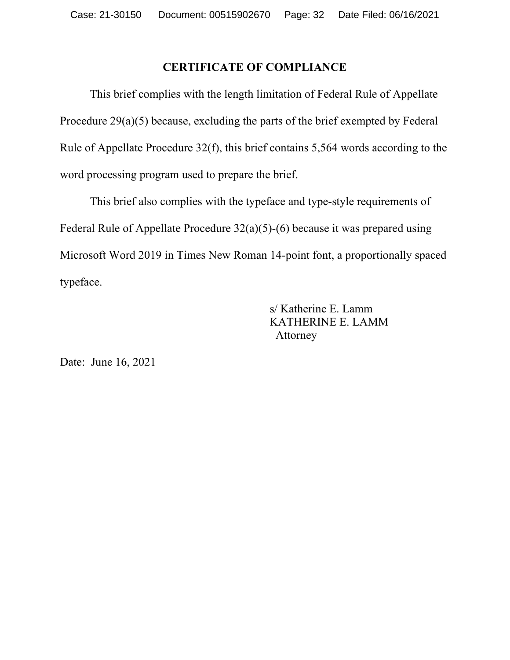# **CERTIFICATE OF COMPLIANCE**

This brief complies with the length limitation of Federal Rule of Appellate Procedure 29(a)(5) because, excluding the parts of the brief exempted by Federal Rule of Appellate Procedure 32(f), this brief contains 5,564 words according to the word processing program used to prepare the brief.

This brief also complies with the typeface and type-style requirements of Federal Rule of Appellate Procedure 32(a)(5)-(6) because it was prepared using Microsoft Word 2019 in Times New Roman 14-point font, a proportionally spaced typeface.

> s/ Katherine E. Lamm KATHERINE E. LAMM Attorney

Date: June 16, 2021